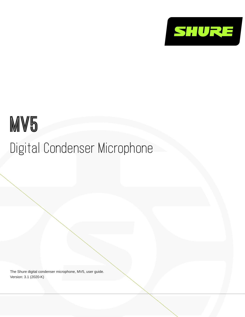

# MV<sub>5</sub> Digital Condenser Microphone

The Shure digital condenser microphone, MV5, user guide. Version: 3.1 (2020-K)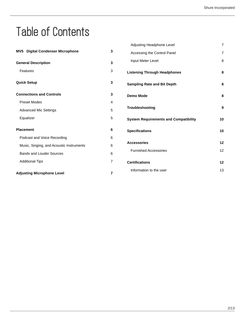## Table of Contents

|                                          |                           | Adjusting Headphone Level                    | 7              |
|------------------------------------------|---------------------------|----------------------------------------------|----------------|
| MV5 Digital Condenser Microphone         | 3                         | Accessing the Control Panel                  | $\overline{7}$ |
| <b>General Description</b>               | $\mathbf 3$               | Input Meter Level                            | 8              |
| Features                                 | $\ensuremath{\mathsf{3}}$ | <b>Listening Through Headphones</b>          | 8              |
| <b>Quick Setup</b>                       | 3                         | <b>Sampling Rate and Bit Depth</b>           | 8              |
| <b>Connections and Controls</b>          | 3                         | <b>Demo Mode</b>                             | 8              |
| <b>Preset Modes</b>                      | 4                         |                                              |                |
| <b>Advanced Mic Settings</b>             | 5                         | Troubleshooting                              | 9              |
| Equalizer                                | 5                         | <b>System Requirements and Compatibility</b> | 10             |
| <b>Placement</b>                         | 6                         | <b>Specifications</b>                        | 10             |
| Podcast and Voice Recording              | 6                         |                                              |                |
| Music, Singing, and Acoustic Instruments | 6                         | <b>Accessories</b>                           | 12             |
| <b>Bands and Louder Sources</b>          | 6                         | <b>Furnished Accessories</b>                 | 12             |
| <b>Additional Tips</b>                   | 7                         | <b>Certifications</b>                        | 12             |
| <b>Adjusting Microphone Level</b>        | 7                         | Information to the user                      | 13             |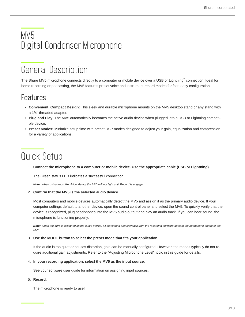## <span id="page-2-0"></span>MV5 Digital Condenser Microphone

## <span id="page-2-1"></span>General Description

The Shure MV5 microphone connects directly to a computer or mobile device over a USB or Lightning $\degree$  connection. Ideal for home recording or podcasting, the MV5 features preset voice and instrument record modes for fast, easy configuration.

### <span id="page-2-2"></span>Features

- **Convenient, Compact Design:** This sleek and durable microphone mounts on the MV5 desktop stand or any stand with a 1/4" threaded adapter.
- **Plug and Play:** The MV5 automatically becomes the active audio device when plugged into a USB or Lightning compatible device.
- **Preset Modes:** Minimize setup time with preset DSP modes designed to adjust your gain, equalization and compression for a variety of applications.

## <span id="page-2-3"></span>Quick Setup

1. **Connect the microphone to a computer or mobile device. Use the appropriate cable (USB or Lightning).**

The Green status LED indicates a successful connection.

*Note: When using apps like Voice Memo, the LED will not light until Record is engaged.*

#### 2. **Confirm that the MV5 is the selected audio device.**

Most computers and mobile devices automatically detect the MV5 and assign it as the primary audio device. If your computer settings default to another device, open the sound control panel and select the MV5. To quickly verify that the device is recognized, plug headphones into the MV5 audio output and play an audio track. If you can hear sound, the microphone is functioning properly.

*Note: When the MV5 is assigned as the audio device, all monitoring and playback from the recording software goes to the headphone output of the MV5.*

#### 3. **Use the MODE button to select the preset mode that fits your application.**

If the audio is too quiet or causes distortion, gain can be manually configured. However, the modes typically do not require additional gain adjustments. Refer to the "Adjusting Microphone Level" topic in this guide for details.

#### 4. **In your recording application, select the MV5 as the input source.**

See your software user guide for information on assigning input sources.

#### 5. **Record.**

<span id="page-2-4"></span>The microphone is ready to use!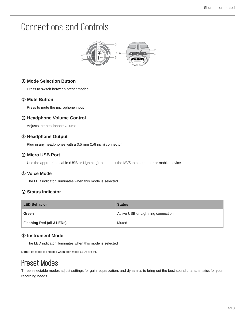## Connections and Controls



#### ① **Mode Selection Button**

Press to switch between preset modes

#### ② **Mute Button**

Press to mute the microphone input

#### ③ **Headphone Volume Control**

Adjusts the headphone volume

#### ④ **Headphone Output**

Plug in any headphones with a 3.5 mm (1/8 inch) connector

#### ⑤ **Micro USB Port**

Use the appropriate cable (USB or Lightning) to connect the MV5 to a computer or mobile device

#### ⑥ **Voice Mode**

The LED indicator illuminates when this mode is selected

#### ⑦ **Status Indicator**

| <b>LED Behavior</b>       | <b>Status</b>                      |
|---------------------------|------------------------------------|
| Green                     | Active USB or Lightning connection |
| Flashing Red (all 3 LEDs) | Muted                              |

#### ⑧ **Instrument Mode**

The LED indicator illuminates when this mode is selected

**Note:** Flat Mode is engaged when both mode LEDs are off.

### <span id="page-3-0"></span>Preset Modes

Three selectable modes adjust settings for gain, equalization, and dynamics to bring out the best sound characteristics for your recording needs.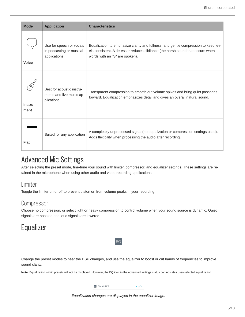| <b>Mode</b>     | <b>Application</b>                                                   | <b>Characteristics</b>                                                                                                                                                                                  |
|-----------------|----------------------------------------------------------------------|---------------------------------------------------------------------------------------------------------------------------------------------------------------------------------------------------------|
| <b>Voice</b>    | Use for speech or vocals<br>in podcasting or musical<br>applications | Equalization to emphasize clarity and fullness, and gentle compression to keep lev-<br>els consistent. A de-esser reduces sibilance (the harsh sound that occurs when<br>words with an "S" are spoken). |
| Instru-<br>ment | Best for acoustic instru-<br>ments and live music ap-<br>plications  | Transparent compression to smooth out volume spikes and bring quiet passages<br>forward. Equalization emphasizes detail and gives an overall natural sound.                                             |
| <b>Flat</b>     | Suited for any application                                           | A completely unprocessed signal (no equalization or compression settings used).<br>Adds flexibility when processing the audio after recording.                                                          |

### <span id="page-4-0"></span>Advanced Mic Settings

After selecting the preset mode, fine-tune your sound with limiter, compressor, and equalizer settings. These settings are retained in the microphone when using other audio and video recording applications.

### Limiter

Toggle the limiter on or off to prevent distortion from volume peaks in your recording.

### Compressor

Choose no compression, or select light or heavy compression to control volume when your sound source is dynamic. Quiet signals are boosted and loud signals are lowered.

### <span id="page-4-1"></span>**Equalizer**

Change the preset modes to hear the DSP changes, and use the equalizer to boost or cut bands of frequencies to improve sound clarity.

EQ

**Note:** Equalization within presets will not be displayed. However, the EQ icon in the advanced settings status bar indicates user-selected equalization.



*Equalization changes are displayed in the equalizer image.*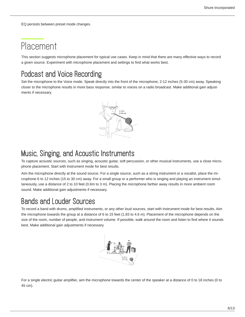EQ persists between preset mode changes.

## <span id="page-5-0"></span>Placement

This section suggests microphone placement for typical use cases. Keep in mind that there are many effective ways to record a given source. Experiment with microphone placement and settings to find what works best.

### <span id="page-5-1"></span>Podcast and Voice Recording

Set the microphone to the Voice mode. Speak directly into the front of the microphone, 2-12 inches (5-30 cm) away. Speaking closer to the microphone results in more bass response, similar to voices on a radio broadcast. Make additional gain adjustments if necessary.



### <span id="page-5-2"></span>Music, Singing, and Acoustic Instruments

To capture acoustic sources, such as singing, acoustic guitar, soft percussion, or other musical instruments, use a close microphone placement. Start with Instrument mode for best results.

Aim the microphone directly at the sound source. For a single source, such as a string instrument or a vocalist, place the microphone 6 to 12 inches (15 to 30 cm) away. For a small group or a performer who is singing and playing an instrument simultaneously, use a distance of 2 to 10 feet (0.6m to 3 m). Placing the microphone farther away results in more ambient room sound. Make additional gain adjustments if necessary.

### <span id="page-5-3"></span>Bands and Louder Sources

To record a band with drums, amplified instruments, or any other loud sources, start with Instrument mode for best results. Aim the microphone towards the group at a distance of 6 to 15 feet (1.83 to 4.6 m). Placement of the microphone depends on the size of the room, number of people, and instrument volume. If possible, walk around the room and listen to find where it sounds best. Make additional gain adjustments if necessary.



For a single electric guitar amplifier, aim the microphone towards the center of the speaker at a distance of 0 to 18 inches (0 to 45 cm).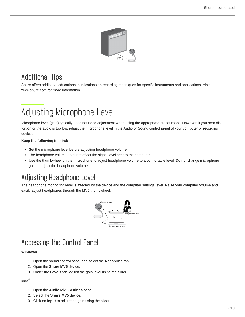

### <span id="page-6-0"></span>Additional Tips

Shure offers additional educational publications on recording techniques for specific instruments and applications. Visit www.shure.com for more information.

## <span id="page-6-1"></span>Adjusting Microphone Level

Microphone level (gain) typically does not need adjustment when using the appropriate preset mode. However, if you hear distortion or the audio is too low, adjust the microphone level in the Audio or Sound control panel of your computer or recording device.

#### **Keep the following in mind:**

- Set the microphone level before adjusting headphone volume.
- The headphone volume does not affect the signal level sent to the computer.
- Use the thumbwheel on the microphone to adjust headphone volume to a comfortable level. Do not change microphone gain to adjust the headphone volume.

### <span id="page-6-2"></span>Adjusting Headphone Level

The headphone monitoring level is affected by the device and the computer settings level. Raise your computer volume and easily adjust headphones through the MV5 thumbwheel.



### <span id="page-6-3"></span>Accessing the Control Panel

#### **Windows**

- 1. Open the sound control panel and select the **Recording** tab.
- 2. Open the **Shure MV5** device.
- 3. Under the **Levels** tab, adjust the gain level using the slider.

#### **Mac ®**

- 1. Open the **Audio Midi Settings** panel.
- 2. Select the **Shure MV5** device.
- 3. Click on **Input** to adjust the gain using the slider.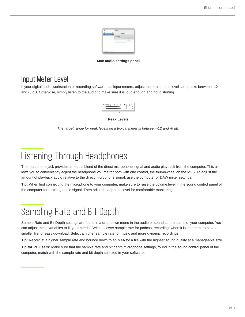| n n n                                         | <b>Audio Devices</b>                 |                        |              |                         |
|-----------------------------------------------|--------------------------------------|------------------------|--------------|-------------------------|
| Built-in Morgollane<br>2 Hillman              | Share MVS                            |                        |              |                         |
| <b>Built-in Outwart</b><br><b>THEFA</b><br>W. | Clock source: Default                |                        |              | $\widehat{\mathcal{F}}$ |
| A Store MrS<br>es.<br>Y THEFAX                | <b>BITCH Over</b>                    |                        |              |                         |
|                                               | Source: Default                      |                        |              |                         |
|                                               | Format: 44100.0 kg = 2th-36hk Imeger |                        | ÷,           |                         |
|                                               | Ch. Volume                           | talen all<br>×<br>e ve | Mate - Day   |                         |
|                                               | $L_1 \oplus$                         |                        | ō<br>$\circ$ | τ<br>$\alpha$           |
|                                               | $L =$                                |                        | $\alpha$     | $\alpha$                |
|                                               |                                      |                        |              |                         |
|                                               |                                      |                        |              |                         |
|                                               |                                      |                        |              |                         |
|                                               |                                      |                        |              |                         |
|                                               |                                      |                        |              |                         |

#### **Mac audio settings panel**

### <span id="page-7-0"></span>Input Meter Level

If your digital audio workstation or recording software has input meters, adjust the microphone level so it peaks between -12 and -6 dB. Otherwise, simply listen to the audio to make sure it is loud enough and not distorting.

|  | R | $-30 - 20 - 15$ | $-10$ |  |  |  |  |  |
|--|---|-----------------|-------|--|--|--|--|--|
|--|---|-----------------|-------|--|--|--|--|--|

**Peak Levels**

*The target range for peak levels on a typical meter is between -12 and -6 dB.*

## <span id="page-7-1"></span>Listening Through Headphones

The headphone jack provides an equal blend of the direct microphone signal and audio playback from the computer. This allows you to conveniently adjust the headphone volume for both with one control, the thumbwheel on the MV5. To adjust the amount of playback audio relative to the direct microphone signal, use the computer or DAW mixer settings.

**Tip:** When first connecting the microphone to your computer, make sure to raise the volume level in the sound control panel of the computer for a strong audio signal. Then adjust headphone level for comfortable monitoring.

## <span id="page-7-2"></span>Sampling Rate and Bit Depth

Sample Rate and Bit Depth settings are found in a drop down menu in the audio or sound control panel of your computer. You can adjust these variables to fit your needs. Select a lower sample rate for podcast recording, when it is important to have a smaller file for easy download. Select a higher sample rate for music and more dynamic recordings.

**Tip:** Record at a higher sample rate and bounce down to an M4A for a file with the highest sound quality at a manageable size.

<span id="page-7-3"></span>**Tip for PC users:** Make sure that the sample rate and bit depth microphone settings, found in the sound control panel of the computer, match with the sample rate and bit depth selected in your software.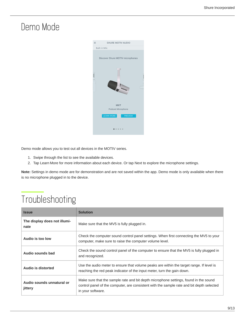## Demo Mode



Demo mode allows you to test out all devices in the MOTIV series.

- 1. Swipe through the list to see the available devices.
- 2. Tap Learn More for more information about each device. Or tap Next to explore the microphone settings.

**Note:** Settings in demo mode are for demonstration and are not saved within the app. Demo mode is only available when there is no microphone plugged in to the device.

## <span id="page-8-0"></span>Troubleshooting

| <b>Issue</b>                         | <b>Solution</b>                                                                                                                                                                                        |
|--------------------------------------|--------------------------------------------------------------------------------------------------------------------------------------------------------------------------------------------------------|
| The display does not illumi-<br>nate | Make sure that the MV5 is fully plugged in.                                                                                                                                                            |
| Audio is too low                     | Check the computer sound control panel settings. When first connecting the MV5 to your<br>computer, make sure to raise the computer volume level.                                                      |
| Audio sounds bad                     | Check the sound control panel of the computer to ensure that the MV5 is fully plugged in<br>and recognized.                                                                                            |
| Audio is distorted                   | Use the audio meter to ensure that volume peaks are within the target range. If level is<br>reaching the red peak indicator of the input meter, turn the gain down.                                    |
| Audio sounds unnatural or<br>jittery | Make sure that the sample rate and bit depth microphone settings, found in the sound<br>control panel of the computer, are consistent with the sample rate and bit depth selected<br>in your software. |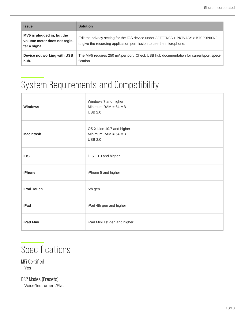| <b>Issue</b>                                                                | <b>Solution</b>                                                                                                                                          |
|-----------------------------------------------------------------------------|----------------------------------------------------------------------------------------------------------------------------------------------------------|
| MV5 is plugged in, but the<br>volume meter does not regis-<br>ter a signal. | Edit the privacy setting for the iOS device under SETTINGS > PRIVACY > MICROPHONE<br>to give the recording application permission to use the microphone. |
| Device not working with USB<br>hub.                                         | The MV5 requires 250 mA per port. Check USB hub documentation for current/port speci-<br>fication.                                                       |

## <span id="page-9-0"></span>System Requirements and Compatibility

| <b>Windows</b>   | Windows 7 and higher<br>Minimum $RAM = 64 MB$<br><b>USB 2.0</b>      |
|------------------|----------------------------------------------------------------------|
| <b>Macintosh</b> | OS X Lion 10.7 and higher<br>Minimum $RAM = 64 MB$<br><b>USB 2.0</b> |
| iOS              | iOS 10.0 and higher                                                  |
| iPhone           | iPhone 5 and higher                                                  |
| iPod Touch       | 5th gen                                                              |
| iPad             | iPad 4th gen and higher                                              |
| iPad Mini        | iPad Mini 1st gen and higher                                         |

## <span id="page-9-1"></span>**Specifications**

### MFi Certified

Yes

DSP Modes (Presets) Voice/Instrument/Flat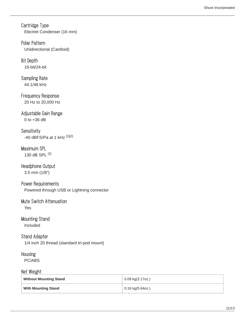Cartridge Type Electret Condenser (16 mm)

Polar Pattern Unidirectional (Cardioid)

Bit Depth 16-bit/24-bit

Sampling Rate 44.1/48 kHz

Frequency Response 20 Hz to 20,000 Hz

Adjustable Gain Range 0 to +36 dB

**Sensitivity** -40 dBFS/Pa at 1 kHz [1][2}

### Maximum SPL 130 dB SPL [2]

Headphone Output

3.5 mm (1/8″)

Power Requirements Powered through USB or Lightning connector

### Mute Switch Attenuation Yes

### Mounting Stand

Included

### Stand Adapter

1/4 inch 20 thread (standard tri-pod mount)

### Housing

PC/ABS

### Net Weight

| <b>Without Mounting Stand</b> | 0.09 kg(3.17oz.)   |
|-------------------------------|--------------------|
| <b>With Mounting Stand</b>    | $0.16$ kg(5.64oz.) |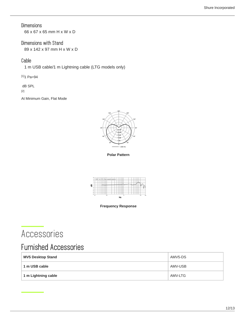### **Dimensions**

66 x 67 x 65 mm H x W x D

### Dimensions with Stand

89 x 142 x 97 mm H x W x D

### Cable

1 m USB cable/1 m Lightning cable (LTG models only)

 $[1]$ 1 Pa=94

dB SPL

[2]

At Minimum Gain, Flat Mode



**Polar Pattern**



**Frequency Response**

### <span id="page-11-0"></span>Accessories

### <span id="page-11-1"></span>Furnished Accessories

<span id="page-11-2"></span>

| <b>MV5 Desktop Stand</b> | AMV5-DS |
|--------------------------|---------|
| 1 m USB cable            | AMV-USB |
| 1 m Lightning cable      | AMV-LTG |